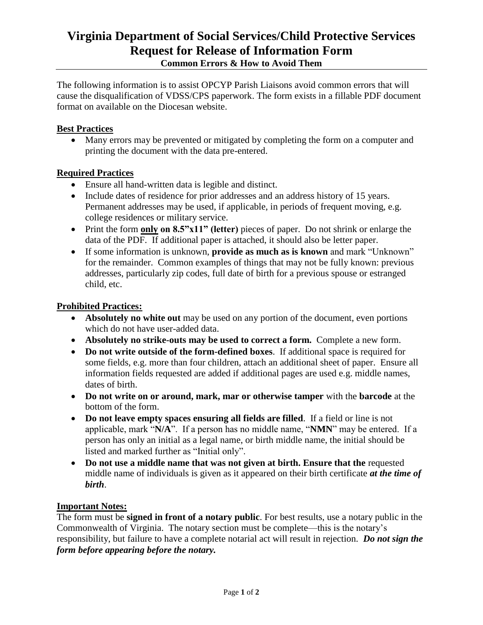# **Virginia Department of Social Services/Child Protective Services Request for Release of Information Form Common Errors & How to Avoid Them**

The following information is to assist OPCYP Parish Liaisons avoid common errors that will cause the disqualification of VDSS/CPS paperwork. The form exists in a fillable PDF document format on available on the Diocesan website.

## **Best Practices**

 Many errors may be prevented or mitigated by completing the form on a computer and printing the document with the data pre-entered.

## **Required Practices**

- Ensure all hand-written data is legible and distinct.
- Include dates of residence for prior addresses and an address history of 15 years. Permanent addresses may be used, if applicable, in periods of frequent moving, e.g. college residences or military service.
- Print the form **only on 8.5"x11" (letter)** pieces of paper. Do not shrink or enlarge the data of the PDF. If additional paper is attached, it should also be letter paper.
- If some information is unknown, **provide as much as is known** and mark "Unknown" for the remainder. Common examples of things that may not be fully known: previous addresses, particularly zip codes, full date of birth for a previous spouse or estranged child, etc.

#### **Prohibited Practices:**

- **Absolutely no white out** may be used on any portion of the document, even portions which do not have user-added data.
- **Absolutely no strike-outs may be used to correct a form.** Complete a new form.
- **Do not write outside of the form-defined boxes**. If additional space is required for some fields, e.g. more than four children, attach an additional sheet of paper. Ensure all information fields requested are added if additional pages are used e.g. middle names, dates of birth.
- **Do not write on or around, mark, mar or otherwise tamper** with the **barcode** at the bottom of the form.
- **Do not leave empty spaces ensuring all fields are filled**. If a field or line is not applicable, mark "**N/A**". If a person has no middle name, "**NMN**" may be entered. If a person has only an initial as a legal name, or birth middle name, the initial should be listed and marked further as "Initial only".
- Do not use a middle name that was not given at birth. Ensure that the requested middle name of individuals is given as it appeared on their birth certificate *at the time of birth*.

#### **Important Notes:**

The form must be **signed in front of a notary public**. For best results, use a notary public in the Commonwealth of Virginia. The notary section must be complete—this is the notary's responsibility, but failure to have a complete notarial act will result in rejection. *Do not sign the form before appearing before the notary.*